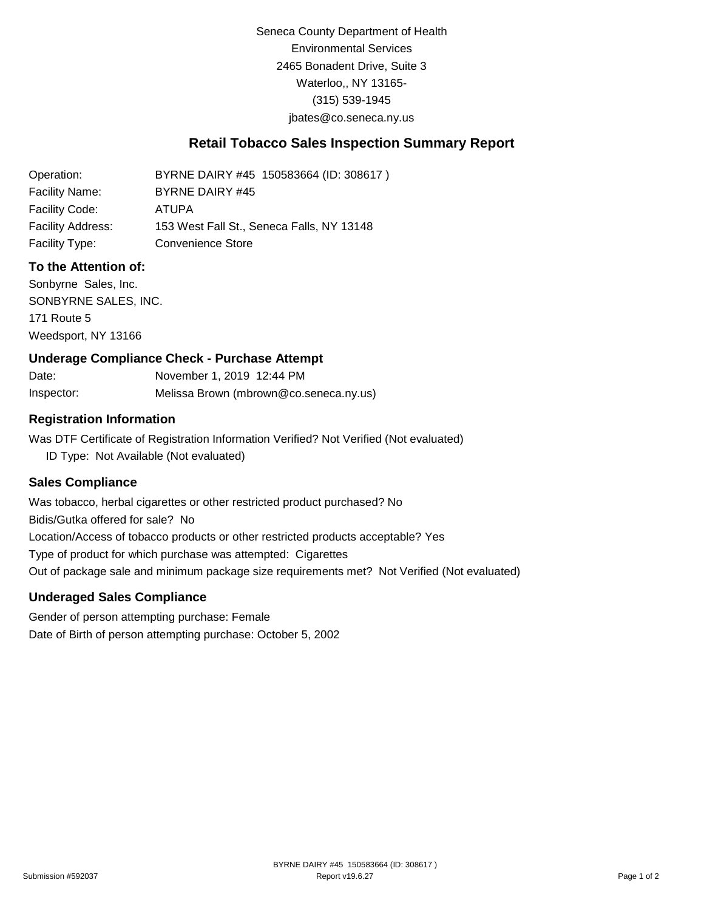Seneca County Department of Health Environmental Services 2465 Bonadent Drive, Suite 3 Waterloo,, NY 13165- (315) 539-1945 [jbates@co.seneca.ny.us](mailto:jbates@co.seneca.ny.us)

## **Retail Tobacco Sales Inspection Summary Report**

Operation: Facility Name: Facility Code: Facility Address: BYRNE DAIRY #45 150583664 (ID: 308617 ) BYRNE DAIRY #45 ATUPA 153 West Fall St., Seneca Falls, NY 13148 Facility Type: Convenience Store

#### **To the Attention of:**

Sonbyrne Sales, Inc. SONBYRNE SALES, INC. 171 Route 5 Weedsport, NY 13166

#### **Underage Compliance Check - Purchase Attempt**

Date: Inspector: November 1, 2019 12:44 PM Melissa Brown (mbrown@co.seneca.ny.us)

#### **Registration Information**

Was DTF Certificate of Registration Information Verified? Not Verified (Not evaluated) ID Type: Not Available (Not evaluated)

#### **Sales Compliance**

Was tobacco, herbal cigarettes or other restricted product purchased? No Bidis/Gutka offered for sale? No Location/Access of tobacco products or other restricted products acceptable? Yes Type of product for which purchase was attempted: Cigarettes Out of package sale and minimum package size requirements met? Not Verified (Not evaluated)

#### **Underaged Sales Compliance**

Gender of person attempting purchase: Female Date of Birth of person attempting purchase: October 5, 2002